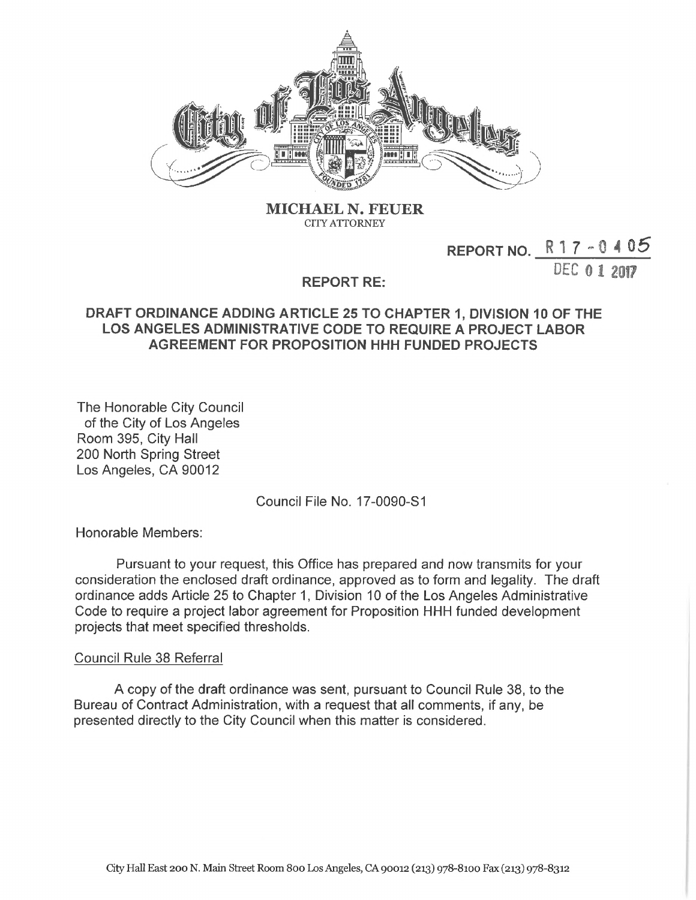

**MICHAEL N. FEUER CITYATTORNEY**

## **REPORT NO. <sup>R</sup> <sup>1</sup> <sup>7</sup> - <sup>0</sup> <sup>4</sup> 05**

DEC 0 1 2017

## **REPORT RE:**

## **DRAFT ORDINANCE ADDING ARTICLE 25 TO CHAPTER 1, DIVISION 10 OF THE LOS ANGELES ADMINISTRATIVE CODE TO REQUIRE A PROJECT LABOR AGREEMENT FOR PROPOSITION HHH FUNDED PROJECTS**

The Honorable City Council of the City of Los Angeles Room 395, City Hall 200 North Spring Street Los Angeles, CA 90012

Council File No. 17-0090-S1

Honorable Members:

Pursuant to your request, this Office has prepared and now transmits for your consideration the enclosed draft ordinance, approved as to form and legality. The draft ordinance adds Article 25 to Chapter 1, Division 10 of the Los Angeles Administrative Code to require a project labor agreement for Proposition HHH funded development projects that meet specified thresholds.

## Council Rule 38 Referral

A copy of the draft ordinance was sent, pursuant to Council Rule 38, to the Bureau of Contract Administration, with a request that all comments, if any, be presented directly to the City Council when this matter is considered.